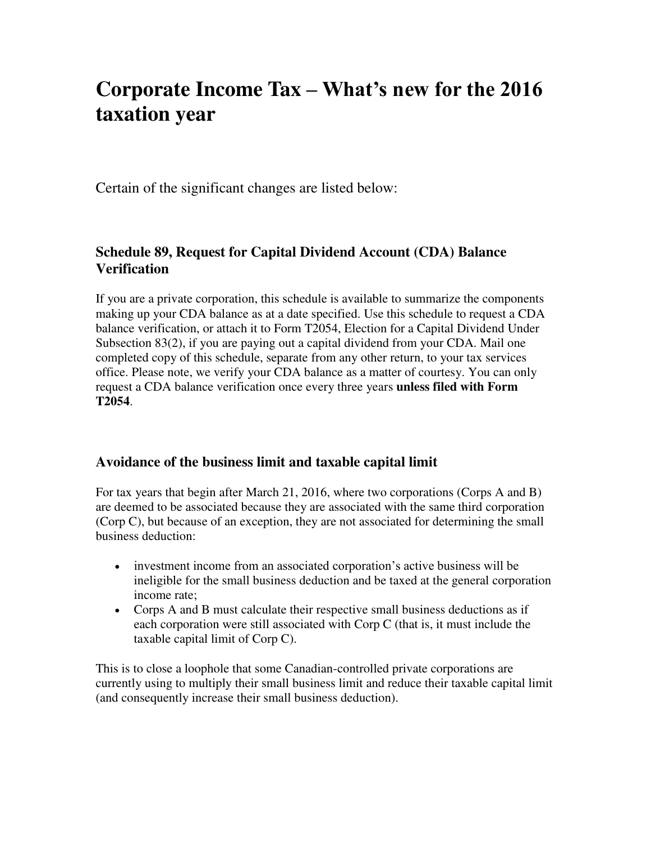# **Corporate Income Tax – What's new for the 2016 taxation year**

Certain of the significant changes are listed below:

## **Schedule 89, Request for Capital Dividend Account (CDA) Balance Verification**

If you are a private corporation, this schedule is available to summarize the components making up your CDA balance as at a date specified. Use this schedule to request a CDA balance verification, or attach it to Form T2054, Election for a Capital Dividend Under Subsection 83(2), if you are paying out a capital dividend from your CDA. Mail one completed copy of this schedule, separate from any other return, to your tax services office. Please note, we verify your CDA balance as a matter of courtesy. You can only request a CDA balance verification once every three years **unless filed with Form T2054**.

## **Avoidance of the business limit and taxable capital limit**

For tax years that begin after March 21, 2016, where two corporations (Corps A and B) are deemed to be associated because they are associated with the same third corporation (Corp C), but because of an exception, they are not associated for determining the small business deduction:

- investment income from an associated corporation's active business will be ineligible for the small business deduction and be taxed at the general corporation income rate;
- Corps A and B must calculate their respective small business deductions as if each corporation were still associated with Corp C (that is, it must include the taxable capital limit of Corp C).

This is to close a loophole that some Canadian-controlled private corporations are currently using to multiply their small business limit and reduce their taxable capital limit (and consequently increase their small business deduction).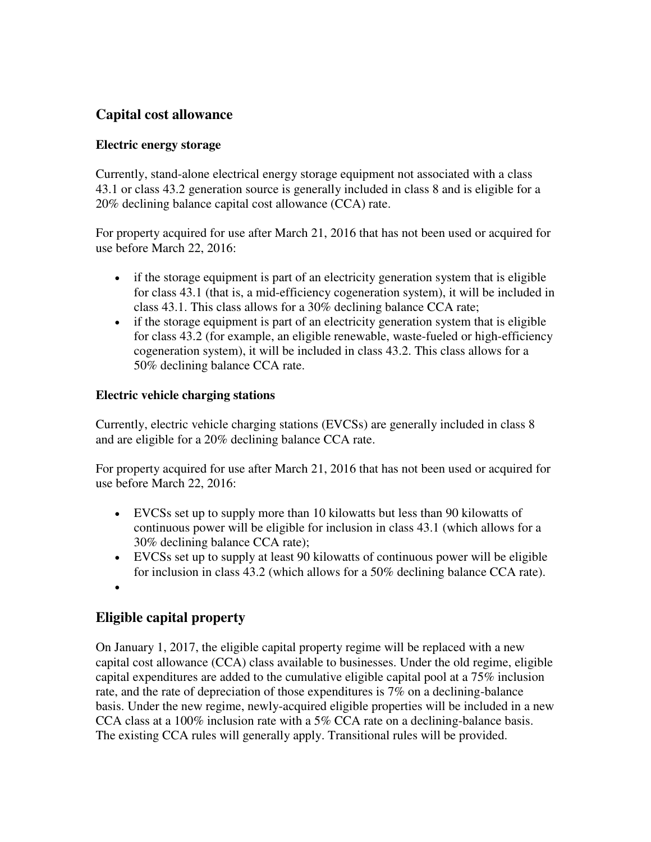# **Capital cost allowance**

## **Electric energy storage**

Currently, stand-alone electrical energy storage equipment not associated with a class 43.1 or class 43.2 generation source is generally included in class 8 and is eligible for a 20% declining balance capital cost allowance (CCA) rate.

For property acquired for use after March 21, 2016 that has not been used or acquired for use before March 22, 2016:

- if the storage equipment is part of an electricity generation system that is eligible for class 43.1 (that is, a mid-efficiency cogeneration system), it will be included in class 43.1. This class allows for a 30% declining balance CCA rate;
- if the storage equipment is part of an electricity generation system that is eligible for class 43.2 (for example, an eligible renewable, waste-fueled or high-efficiency cogeneration system), it will be included in class 43.2. This class allows for a 50% declining balance CCA rate.

## **Electric vehicle charging stations**

Currently, electric vehicle charging stations (EVCSs) are generally included in class 8 and are eligible for a 20% declining balance CCA rate.

For property acquired for use after March 21, 2016 that has not been used or acquired for use before March 22, 2016:

- EVCSs set up to supply more than 10 kilowatts but less than 90 kilowatts of continuous power will be eligible for inclusion in class 43.1 (which allows for a 30% declining balance CCA rate);
- EVCSs set up to supply at least 90 kilowatts of continuous power will be eligible for inclusion in class 43.2 (which allows for a 50% declining balance CCA rate).
- $\bullet$

# **Eligible capital property**

On January 1, 2017, the eligible capital property regime will be replaced with a new capital cost allowance (CCA) class available to businesses. Under the old regime, eligible capital expenditures are added to the cumulative eligible capital pool at a 75% inclusion rate, and the rate of depreciation of those expenditures is 7% on a declining-balance basis. Under the new regime, newly-acquired eligible properties will be included in a new CCA class at a 100% inclusion rate with a 5% CCA rate on a declining-balance basis. The existing CCA rules will generally apply. Transitional rules will be provided.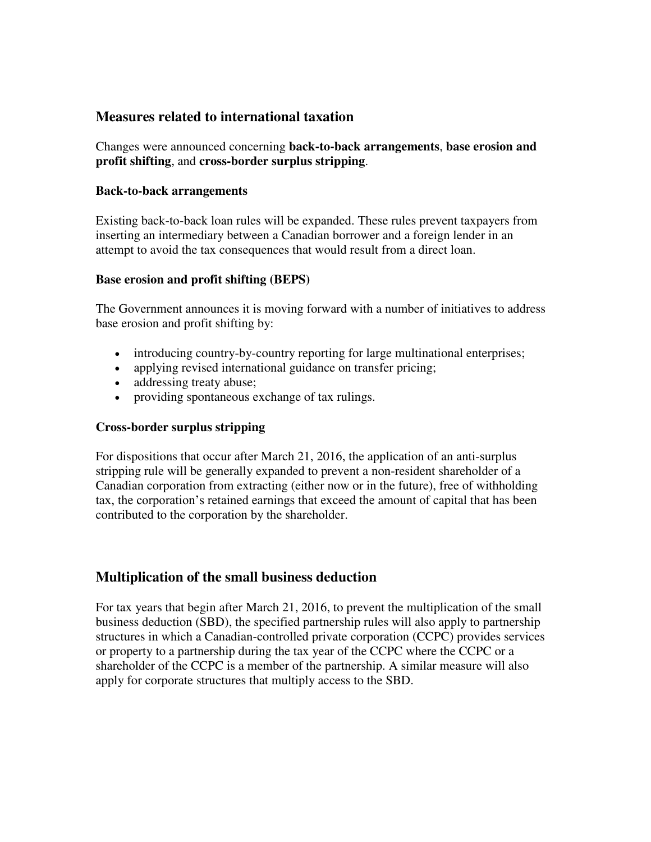## **Measures related to international taxation**

Changes were announced concerning **back-to-back arrangements**, **base erosion and profit shifting**, and **cross-border surplus stripping**.

#### **Back-to-back arrangements**

Existing back-to-back loan rules will be expanded. These rules prevent taxpayers from inserting an intermediary between a Canadian borrower and a foreign lender in an attempt to avoid the tax consequences that would result from a direct loan.

#### **Base erosion and profit shifting (BEPS)**

The Government announces it is moving forward with a number of initiatives to address base erosion and profit shifting by:

- introducing country-by-country reporting for large multinational enterprises;
- applying revised international guidance on transfer pricing;
- addressing treaty abuse;
- providing spontaneous exchange of tax rulings.

### **Cross-border surplus stripping**

For dispositions that occur after March 21, 2016, the application of an anti-surplus stripping rule will be generally expanded to prevent a non-resident shareholder of a Canadian corporation from extracting (either now or in the future), free of withholding tax, the corporation's retained earnings that exceed the amount of capital that has been contributed to the corporation by the shareholder.

## **Multiplication of the small business deduction**

For tax years that begin after March 21, 2016, to prevent the multiplication of the small business deduction (SBD), the specified partnership rules will also apply to partnership structures in which a Canadian-controlled private corporation (CCPC) provides services or property to a partnership during the tax year of the CCPC where the CCPC or a shareholder of the CCPC is a member of the partnership. A similar measure will also apply for corporate structures that multiply access to the SBD.